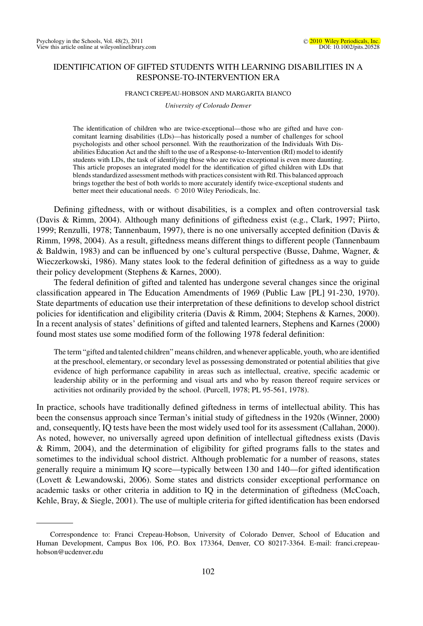# IDENTIFICATION OF GIFTED STUDENTS WITH LEARNING DISABILITIES IN A RESPONSE-TO-INTERVENTION ERA

#### FRANCI CREPEAU-HOBSON AND MARGARITA BIANCO

*University of Colorado Denver*

The identification of children who are twice-exceptional—those who are gifted and have concomitant learning disabilities (LDs)—has historically posed a number of challenges for school psychologists and other school personnel. With the reauthorization of the Individuals With Disabilities Education Act and the shift to the use of a Response-to-Intervention (RtI) model to identify students with LDs, the task of identifying those who are twice exceptional is even more daunting. This article proposes an integrated model for the identification of gifted children with LDs that blends standardized assessment methods with practices consistent with RtI. This balanced approach brings together the best of both worlds to more accurately identify twice-exceptional students and better meet their educational needs.  $\oslash$  2010 Wiley Periodicals, Inc.

Defining giftedness, with or without disabilities, is a complex and often controversial task (Davis & Rimm, 2004). Although many definitions of giftedness exist (e.g., Clark, 1997; Piirto, 1999; Renzulli, 1978; Tannenbaum, 1997), there is no one universally accepted definition (Davis & Rimm, 1998, 2004). As a result, giftedness means different things to different people (Tannenbaum & Baldwin, 1983) and can be influenced by one's cultural perspective (Busse, Dahme, Wagner, & Wieczerkowski, 1986). Many states look to the federal definition of giftedness as a way to guide their policy development (Stephens & Karnes, 2000).

The federal definition of gifted and talented has undergone several changes since the original classification appeared in The Education Amendments of 1969 (Public Law [PL] 91-230, 1970). State departments of education use their interpretation of these definitions to develop school district policies for identification and eligibility criteria (Davis & Rimm, 2004; Stephens & Karnes, 2000). In a recent analysis of states' definitions of gifted and talented learners, Stephens and Karnes (2000) found most states use some modified form of the following 1978 federal definition:

The term "gifted and talented children" means children, and whenever applicable, youth, who are identified at the preschool, elementary, or secondary level as possessing demonstrated or potential abilities that give evidence of high performance capability in areas such as intellectual, creative, specific academic or leadership ability or in the performing and visual arts and who by reason thereof require services or activities not ordinarily provided by the school. (Purcell, 1978; PL 95-561, 1978).

In practice, schools have traditionally defined giftedness in terms of intellectual ability. This has been the consensus approach since Terman's initial study of giftedness in the 1920s (Winner, 2000) and, consequently, IQ tests have been the most widely used tool for its assessment (Callahan, 2000). As noted, however, no universally agreed upon definition of intellectual giftedness exists (Davis & Rimm, 2004), and the determination of eligibility for gifted programs falls to the states and sometimes to the individual school district. Although problematic for a number of reasons, states generally require a minimum IQ score—typically between 130 and 140—for gifted identification (Lovett & Lewandowski, 2006). Some states and districts consider exceptional performance on academic tasks or other criteria in addition to IQ in the determination of giftedness (McCoach, Kehle, Bray, & Siegle, 2001). The use of multiple criteria for gifted identification has been endorsed

Correspondence to: Franci Crepeau-Hobson, University of Colorado Denver, School of Education and Human Development, Campus Box 106, P.O. Box 173364, Denver, CO 80217-3364. E-mail: franci.crepeauhobson@ucdenver.edu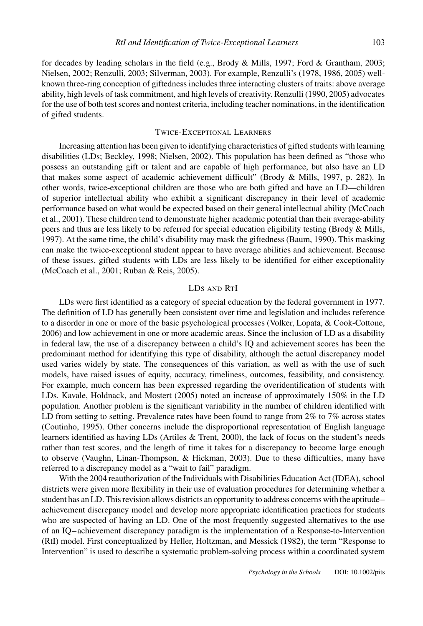for decades by leading scholars in the field (e.g., Brody & Mills, 1997; Ford & Grantham, 2003; Nielsen, 2002; Renzulli, 2003; Silverman, 2003). For example, Renzulli's (1978, 1986, 2005) wellknown three-ring conception of giftedness includes three interacting clusters of traits: above average ability, high levels of task commitment, and high levels of creativity. Renzulli (1990, 2005) advocates for the use of both test scores and nontest criteria, including teacher nominations, in the identification of gifted students.

### TWICE-EXCEPTIONAL LEARNERS

Increasing attention has been given to identifying characteristics of gifted students with learning disabilities (LDs; Beckley, 1998; Nielsen, 2002). This population has been defined as "those who possess an outstanding gift or talent and are capable of high performance, but also have an LD that makes some aspect of academic achievement difficult" (Brody & Mills, 1997, p. 282). In other words, twice-exceptional children are those who are both gifted and have an LD—children of superior intellectual ability who exhibit a significant discrepancy in their level of academic performance based on what would be expected based on their general intellectual ability (McCoach et al., 2001). These children tend to demonstrate higher academic potential than their average-ability peers and thus are less likely to be referred for special education eligibility testing (Brody & Mills, 1997). At the same time, the child's disability may mask the giftedness (Baum, 1990). This masking can make the twice-exceptional student appear to have average abilities and achievement. Because of these issues, gifted students with LDs are less likely to be identified for either exceptionality (McCoach et al., 2001; Ruban & Reis, 2005).

### LDS AND RTI

LDs were first identified as a category of special education by the federal government in 1977. The definition of LD has generally been consistent over time and legislation and includes reference to a disorder in one or more of the basic psychological processes (Volker, Lopata, & Cook-Cottone, 2006) and low achievement in one or more academic areas. Since the inclusion of LD as a disability in federal law, the use of a discrepancy between a child's IQ and achievement scores has been the predominant method for identifying this type of disability, although the actual discrepancy model used varies widely by state. The consequences of this variation, as well as with the use of such models, have raised issues of equity, accuracy, timeliness, outcomes, feasibility, and consistency. For example, much concern has been expressed regarding the overidentification of students with LDs. Kavale, Holdnack, and Mostert (2005) noted an increase of approximately 150% in the LD population. Another problem is the significant variability in the number of children identified with LD from setting to setting. Prevalence rates have been found to range from 2% to 7% across states (Coutinho, 1995). Other concerns include the disproportional representation of English language learners identified as having LDs (Artiles & Trent, 2000), the lack of focus on the student's needs rather than test scores, and the length of time it takes for a discrepancy to become large enough to observe (Vaughn, Linan-Thompson, & Hickman, 2003). Due to these difficulties, many have referred to a discrepancy model as a "wait to fail" paradigm.

With the 2004 reauthorization of the Individuals with Disabilities Education Act (IDEA), school districts were given more flexibility in their use of evaluation procedures for determining whether a student has an LD. This revision allows districts an opportunity to address concerns with the aptitude– achievement discrepancy model and develop more appropriate identification practices for students who are suspected of having an LD. One of the most frequently suggested alternatives to the use of an IQ –achievement discrepancy paradigm is the implementation of a Response-to-Intervention (RtI) model. First conceptualized by Heller, Holtzman, and Messick (1982), the term "Response to Intervention" is used to describe a systematic problem-solving process within a coordinated system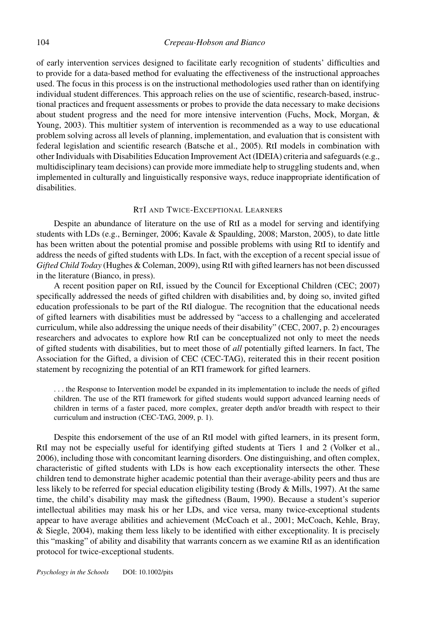of early intervention services designed to facilitate early recognition of students' difficulties and to provide for a data-based method for evaluating the effectiveness of the instructional approaches used. The focus in this process is on the instructional methodologies used rather than on identifying individual student differences. This approach relies on the use of scientific, research-based, instructional practices and frequent assessments or probes to provide the data necessary to make decisions about student progress and the need for more intensive intervention (Fuchs, Mock, Morgan, & Young, 2003). This multitier system of intervention is recommended as a way to use educational problem solving across all levels of planning, implementation, and evaluation that is consistent with federal legislation and scientific research (Batsche et al., 2005). RtI models in combination with other Individuals with Disabilities Education Improvement Act (IDEIA) criteria and safeguards (e.g., multidisciplinary team decisions) can provide more immediate help to struggling students and, when implemented in culturally and linguistically responsive ways, reduce inappropriate identification of disabilities.

#### RTI AND TWICE-EXCEPTIONAL LEARNERS

Despite an abundance of literature on the use of RtI as a model for serving and identifying students with LDs (e.g., Berninger, 2006; Kavale & Spaulding, 2008; Marston, 2005), to date little has been written about the potential promise and possible problems with using RtI to identify and address the needs of gifted students with LDs. In fact, with the exception of a recent special issue of *Gifted Child Today* (Hughes & Coleman, 2009), using RtI with gifted learners has not been discussed in the literature (Bianco, in press).

A recent position paper on RtI, issued by the Council for Exceptional Children (CEC; 2007) specifically addressed the needs of gifted children with disabilities and, by doing so, invited gifted education professionals to be part of the RtI dialogue. The recognition that the educational needs of gifted learners with disabilities must be addressed by "access to a challenging and accelerated curriculum, while also addressing the unique needs of their disability" (CEC, 2007, p. 2) encourages researchers and advocates to explore how RtI can be conceptualized not only to meet the needs of gifted students with disabilities, but to meet those of *all* potentially gifted learners. In fact, The Association for the Gifted, a division of CEC (CEC-TAG), reiterated this in their recent position statement by recognizing the potential of an RTI framework for gifted learners.

. . . the Response to Intervention model be expanded in its implementation to include the needs of gifted children. The use of the RTI framework for gifted students would support advanced learning needs of children in terms of a faster paced, more complex, greater depth and/or breadth with respect to their curriculum and instruction (CEC-TAG, 2009, p. 1).

Despite this endorsement of the use of an RtI model with gifted learners, in its present form, RtI may not be especially useful for identifying gifted students at Tiers 1 and 2 (Volker et al., 2006), including those with concomitant learning disorders. One distinguishing, and often complex, characteristic of gifted students with LDs is how each exceptionality intersects the other. These children tend to demonstrate higher academic potential than their average-ability peers and thus are less likely to be referred for special education eligibility testing (Brody & Mills, 1997). At the same time, the child's disability may mask the giftedness (Baum, 1990). Because a student's superior intellectual abilities may mask his or her LDs, and vice versa, many twice-exceptional students appear to have average abilities and achievement (McCoach et al., 2001; McCoach, Kehle, Bray, & Siegle, 2004), making them less likely to be identified with either exceptionality. It is precisely this "masking" of ability and disability that warrants concern as we examine RtI as an identification protocol for twice-exceptional students.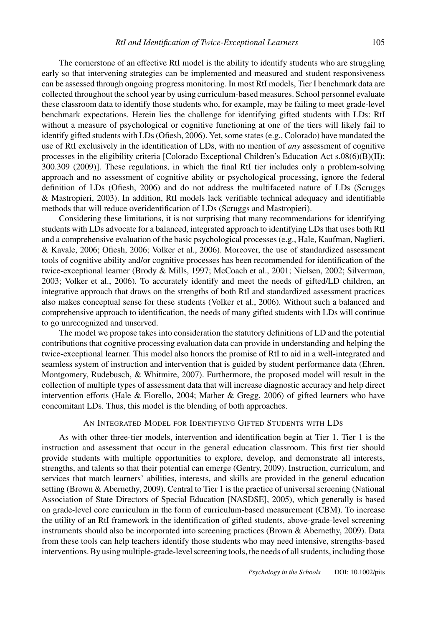The cornerstone of an effective RtI model is the ability to identify students who are struggling early so that intervening strategies can be implemented and measured and student responsiveness can be assessed through ongoing progress monitoring. In most RtI models, Tier I benchmark data are collected throughout the school year by using curriculum-based measures. School personnel evaluate these classroom data to identify those students who, for example, may be failing to meet grade-level benchmark expectations. Herein lies the challenge for identifying gifted students with LDs: RtI without a measure of psychological or cognitive functioning at one of the tiers will likely fail to identify gifted students with LDs (Ofiesh, 2006). Yet, some states (e.g., Colorado) have mandated the use of RtI exclusively in the identification of LDs, with no mention of *any* assessment of cognitive processes in the eligibility criteria [Colorado Exceptional Children's Education Act s.08(6)(B)(II); 300.309 (2009)]. These regulations, in which the final RtI tier includes only a problem-solving approach and no assessment of cognitive ability or psychological processing, ignore the federal definition of LDs (Ofiesh, 2006) and do not address the multifaceted nature of LDs (Scruggs & Mastropieri, 2003). In addition, RtI models lack verifiable technical adequacy and identifiable methods that will reduce overidentification of LDs (Scruggs and Mastropieri).

Considering these limitations, it is not surprising that many recommendations for identifying students with LDs advocate for a balanced, integrated approach to identifying LDs that uses both RtI and a comprehensive evaluation of the basic psychological processes (e.g., Hale, Kaufman, Naglieri, & Kavale, 2006; Ofiesh, 2006; Volker et al., 2006). Moreover, the use of standardized assessment tools of cognitive ability and/or cognitive processes has been recommended for identification of the twice-exceptional learner (Brody & Mills, 1997; McCoach et al., 2001; Nielsen, 2002; Silverman, 2003; Volker et al., 2006). To accurately identify and meet the needs of gifted/LD children, an integrative approach that draws on the strengths of both RtI and standardized assessment practices also makes conceptual sense for these students (Volker et al., 2006). Without such a balanced and comprehensive approach to identification, the needs of many gifted students with LDs will continue to go unrecognized and unserved.

The model we propose takes into consideration the statutory definitions of LD and the potential contributions that cognitive processing evaluation data can provide in understanding and helping the twice-exceptional learner. This model also honors the promise of RtI to aid in a well-integrated and seamless system of instruction and intervention that is guided by student performance data (Ehren, Montgomery, Rudebusch, & Whitmire, 2007). Furthermore, the proposed model will result in the collection of multiple types of assessment data that will increase diagnostic accuracy and help direct intervention efforts (Hale & Fiorello, 2004; Mather & Gregg, 2006) of gifted learners who have concomitant LDs. Thus, this model is the blending of both approaches.

## AN INTEGRATED MODEL FOR IDENTIFYING GIFTED STUDENTS WITH LDS

As with other three-tier models, intervention and identification begin at Tier 1. Tier 1 is the instruction and assessment that occur in the general education classroom. This first tier should provide students with multiple opportunities to explore, develop, and demonstrate all interests, strengths, and talents so that their potential can emerge (Gentry, 2009). Instruction, curriculum, and services that match learners' abilities, interests, and skills are provided in the general education setting (Brown & Abernethy, 2009). Central to Tier 1 is the practice of universal screening (National Association of State Directors of Special Education [NASDSE], 2005), which generally is based on grade-level core curriculum in the form of curriculum-based measurement (CBM). To increase the utility of an RtI framework in the identification of gifted students, above-grade-level screening instruments should also be incorporated into screening practices (Brown & Abernethy, 2009). Data from these tools can help teachers identify those students who may need intensive, strengths-based interventions. By using multiple-grade-level screening tools, the needs of all students, including those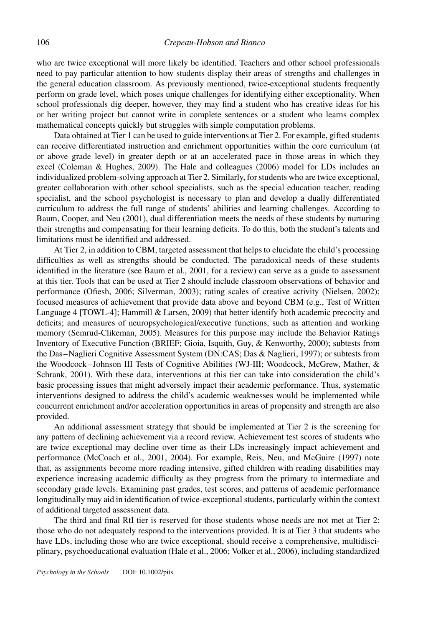who are twice exceptional will more likely be identified. Teachers and other school professionals need to pay particular attention to how students display their areas of strengths and challenges in the general education classroom. As previously mentioned, twice-exceptional students frequently perform on grade level, which poses unique challenges for identifying either exceptionality. When school professionals dig deeper, however, they may find a student who has creative ideas for his or her writing project but cannot write in complete sentences or a student who learns complex mathematical concepts quickly but struggles with simple computation problems.

Data obtained at Tier 1 can be used to guide interventions at Tier 2. For example, gifted students can receive differentiated instruction and enrichment opportunities within the core curriculum (at or above grade level) in greater depth or at an accelerated pace in those areas in which they excel (Coleman & Hughes, 2009). The Hale and colleagues (2006) model for LDs includes an individualized problem-solving approach at Tier 2. Similarly, for students who are twice exceptional, greater collaboration with other school specialists, such as the special education teacher, reading specialist, and the school psychologist is necessary to plan and develop a dually differentiated curriculum to address the full range of students' abilities and learning challenges. According to Baum, Cooper, and Neu (2001), dual differentiation meets the needs of these students by nurturing their strengths and compensating for their learning deficits. To do this, both the student's talents and limitations must be identified and addressed.

At Tier 2, in addition to CBM, targeted assessment that helps to elucidate the child's processing difficulties as well as strengths should be conducted. The paradoxical needs of these students identified in the literature (see Baum et al., 2001, for a review) can serve as a guide to assessment at this tier. Tools that can be used at Tier 2 should include classroom observations of behavior and performance (Ofiesh, 2006; Silverman, 2003); rating scales of creative activity (Nielsen, 2002); focused measures of achievement that provide data above and beyond CBM (e.g., Test of Written Language 4 [TOWL-4]; Hammill & Larsen, 2009) that better identify both academic precocity and deficits; and measures of neuropsychological/executive functions, such as attention and working memory (Semrud-Clikeman, 2005). Measures for this purpose may include the Behavior Ratings Inventory of Executive Function (BRIEF; Gioia, Isquith, Guy, & Kenworthy, 2000); subtests from the Das –Naglieri Cognitive Assessment System (DN:CAS; Das & Naglieri, 1997); or subtests from the Woodcock– Johnson III Tests of Cognitive Abilities (WJ-III; Woodcock, McGrew, Mather, & Schrank, 2001). With these data, interventions at this tier can take into consideration the child's basic processing issues that might adversely impact their academic performance. Thus, systematic interventions designed to address the child's academic weaknesses would be implemented while concurrent enrichment and/or acceleration opportunities in areas of propensity and strength are also provided.

An additional assessment strategy that should be implemented at Tier 2 is the screening for any pattern of declining achievement via a record review. Achievement test scores of students who are twice exceptional may decline over time as their LDs increasingly impact achievement and performance (McCoach et al., 2001, 2004). For example, Reis, Neu, and McGuire (1997) note that, as assignments become more reading intensive, gifted children with reading disabilities may experience increasing academic difficulty as they progress from the primary to intermediate and secondary grade levels. Examining past grades, test scores, and patterns of academic performance longitudinally may aid in identification of twice-exceptional students, particularly within the context of additional targeted assessment data.

The third and final RtI tier is reserved for those students whose needs are not met at Tier 2: those who do not adequately respond to the interventions provided. It is at Tier 3 that students who have LDs, including those who are twice exceptional, should receive a comprehensive, multidisciplinary, psychoeducational evaluation (Hale et al., 2006; Volker et al., 2006), including standardized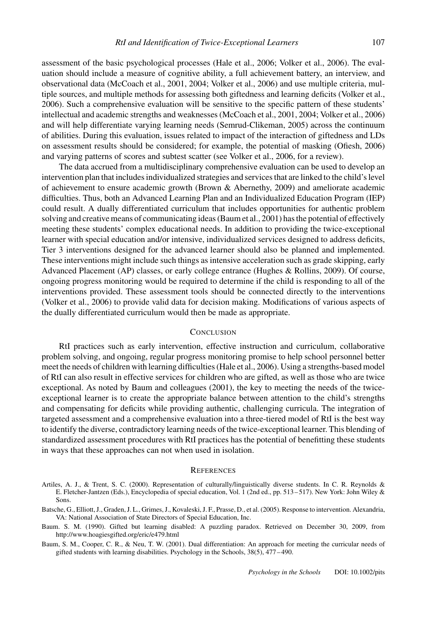assessment of the basic psychological processes (Hale et al., 2006; Volker et al., 2006). The evaluation should include a measure of cognitive ability, a full achievement battery, an interview, and observational data (McCoach et al., 2001, 2004; Volker et al., 2006) and use multiple criteria, multiple sources, and multiple methods for assessing both giftedness and learning deficits (Volker et al., 2006). Such a comprehensive evaluation will be sensitive to the specific pattern of these students' intellectual and academic strengths and weaknesses (McCoach et al., 2001, 2004; Volker et al., 2006) and will help differentiate varying learning needs (Semrud-Clikeman, 2005) across the continuum of abilities. During this evaluation, issues related to impact of the interaction of giftedness and LDs on assessment results should be considered; for example, the potential of masking (Ofiesh, 2006) and varying patterns of scores and subtest scatter (see Volker et al., 2006, for a review).

The data accrued from a multidisciplinary comprehensive evaluation can be used to develop an intervention plan that includes individualized strategies and services that are linked to the child's level of achievement to ensure academic growth (Brown & Abernethy, 2009) and ameliorate academic difficulties. Thus, both an Advanced Learning Plan and an Individualized Education Program (IEP) could result. A dually differentiated curriculum that includes opportunities for authentic problem solving and creative means of communicating ideas (Baum et al., 2001) has the potential of effectively meeting these students' complex educational needs. In addition to providing the twice-exceptional learner with special education and/or intensive, individualized services designed to address deficits, Tier 3 interventions designed for the advanced learner should also be planned and implemented. These interventions might include such things as intensive acceleration such as grade skipping, early Advanced Placement (AP) classes, or early college entrance (Hughes & Rollins, 2009). Of course, ongoing progress monitoring would be required to determine if the child is responding to all of the interventions provided. These assessment tools should be connected directly to the interventions (Volker et al., 2006) to provide valid data for decision making. Modifications of various aspects of the dually differentiated curriculum would then be made as appropriate.

#### **CONCLUSION**

RtI practices such as early intervention, effective instruction and curriculum, collaborative problem solving, and ongoing, regular progress monitoring promise to help school personnel better meet the needs of children with learning difficulties (Hale et al., 2006). Using a strengths-based model of RtI can also result in effective services for children who are gifted, as well as those who are twice exceptional. As noted by Baum and colleagues (2001), the key to meeting the needs of the twiceexceptional learner is to create the appropriate balance between attention to the child's strengths and compensating for deficits while providing authentic, challenging curricula. The integration of targeted assessment and a comprehensive evaluation into a three-tiered model of RtI is the best way to identify the diverse, contradictory learning needs of the twice-exceptional learner. This blending of standardized assessment procedures with RtI practices has the potential of benefitting these students in ways that these approaches can not when used in isolation.

#### **REFERENCES**

- Artiles, A. J., & Trent, S. C. (2000). Representation of culturally/linguistically diverse students. In C. R. Reynolds & E. Fletcher-Jantzen (Eds.), Encyclopedia of special education, Vol. 1 (2nd ed., pp. 513 – 517). New York: John Wiley & Sons.
- Batsche, G., Elliott, J., Graden, J. L., Grimes, J., Kovaleski, J. F., Prasse, D., et al. (2005). Response to intervention. Alexandria, VA: National Association of State Directors of Special Education, Inc.
- Baum. S. M. (1990). Gifted but learning disabled: A puzzling paradox. Retrieved on December 30, 2009, from http://www.hoagiesgifted.org/eric/e479.html

Baum, S. M., Cooper, C. R., & Neu, T. W. (2001). Dual differentiation: An approach for meeting the curricular needs of gifted students with learning disabilities. Psychology in the Schools, 38(5), 477 – 490.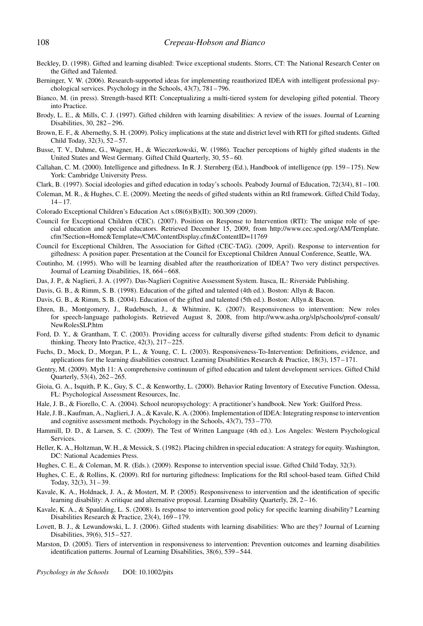- Beckley, D. (1998). Gifted and learning disabled: Twice exceptional students. Storrs, CT: The National Research Center on the Gifted and Talented.
- Berninger, V. W. (2006). Research-supported ideas for implementing reauthorized IDEA with intelligent professional psychological services. Psychology in the Schools, 43(7), 781 – 796.
- Bianco, M. (in press). Strength-based RTI: Conceptualizing a multi-tiered system for developing gifted potential. Theory into Practice.
- Brody, L. E., & Mills, C. J. (1997). Gifted children with learning disabilities: A review of the issues. Journal of Learning Disabilities, 30, 282 – 296.
- Brown, E. F., & Abernethy, S. H. (2009). Policy implications at the state and district level with RTI for gifted students. Gifted Child Today, 32(3), 52 – 57.
- Busse, T. V., Dahme, G., Wagner, H., & Wieczerkowski, W. (1986). Teacher perceptions of highly gifted students in the United States and West Germany. Gifted Child Quarterly, 30, 55 – 60.
- Callahan, C. M. (2000). Intelligence and giftedness. In R. J. Sternberg (Ed.), Handbook of intelligence (pp. 159 175). New York: Cambridge University Press.
- Clark, B. (1997). Social ideologies and gifted education in today's schools. Peabody Journal of Education, 72(3/4), 81 100.
- Coleman, M. R., & Hughes, C. E. (2009). Meeting the needs of gifted students within an RtI framework. Gifted Child Today,  $14 - 17$ .
- Colorado Exceptional Children's Education Act s.08(6)(B)(II); 300.309 (2009).
- Council for Exceptional Children (CEC). (2007). Position on Response to Intervention (RTI): The unique role of special education and special educators. Retrieved December 15, 2009, from http://www.cec.sped.org/AM/Template. cfm?Section=Home&Template=/CM/ContentDisplay.cfm&ContentID=11769
- Council for Exceptional Children, The Association for Gifted (CEC-TAG). (2009, April). Response to intervention for giftedness: A position paper. Presentation at the Council for Exceptional Children Annual Conference, Seattle, WA.
- Coutinho, M. (1995). Who will be learning disabled after the reauthorization of IDEA? Two very distinct perspectives. Journal of Learning Disabilities, 18, 664 – 668.
- Das, J. P., & Naglieri, J. A. (1997). Das-Naglieri Cognitive Assessment System. Itasca, IL: Riverside Publishing.
- Davis, G. B., & Rimm, S. B. (1998). Education of the gifted and talented (4th ed.). Boston: Allyn & Bacon.
- Davis, G. B., & Rimm, S. B. (2004). Education of the gifted and talented (5th ed.). Boston: Allyn & Bacon.
- Ehren, B., Montgomery, J., Rudebusch, J., & Whitmire, K. (2007). Responsiveness to intervention: New roles for speech-language pathologists. Retrieved August 8, 2008, from http://www.asha.org/slp/schools/prof-consult/ NewRolesSLP.htm
- Ford, D. Y., & Grantham, T. C. (2003). Providing access for culturally diverse gifted students: From deficit to dynamic thinking. Theory Into Practice,  $42(3)$ ,  $217-225$ .
- Fuchs, D., Mock, D., Morgan, P. L., & Young, C. L. (2003). Responsiveness-To-Intervention: Definitions, evidence, and applications for the learning disabilities construct. Learning Disabilities Research & Practice, 18(3), 157 – 171.
- Gentry, M. (2009). Myth 11: A comprehensive continuum of gifted education and talent development services. Gifted Child Quarterly, 53(4), 262 – 265.
- Gioia, G. A., Isquith, P. K., Guy, S. C., & Kenworthy, L. (2000). Behavior Rating Inventory of Executive Function. Odessa, FL: Psychological Assessment Resources, Inc.
- Hale, J. B., & Fiorello, C. A. (2004). School neuropsychology: A practitioner's handbook. New York: Guilford Press.
- Hale, J. B., Kaufman, A., Naglieri, J. A., & Kavale, K. A. (2006). Implementation of IDEA: Integrating response to intervention and cognitive assessment methods. Psychology in the Schools, 43(7), 753 – 770.
- Hammill, D. D., & Larsen, S. C. (2009). The Test of Written Language (4th ed.). Los Angeles: Western Psychological Services.
- Heller, K. A., Holtzman, W. H., & Messick, S. (1982). Placing children in special education: A strategy for equity. Washington, DC: National Academies Press.
- Hughes, C. E., & Coleman, M. R. (Eds.). (2009). Response to intervention special issue. Gifted Child Today, 32(3).
- Hughes, C. E., & Rollins, K. (2009). RtI for nurturing giftedness: Implications for the RtI school-based team. Gifted Child Today, 32(3), 31 – 39.
- Kavale, K. A., Holdnack, J. A., & Mostert, M. P. (2005). Responsiveness to intervention and the identification of specific learning disability: A critique and alternative proposal. Learning Disability Quarterly, 28, 2 – 16.
- Kavale, K. A., & Spaulding, L. S. (2008). Is response to intervention good policy for specific learning disability? Learning Disabilities Research & Practice, 23(4), 169 – 179.
- Lovett, B. J., & Lewandowski, L. J. (2006). Gifted students with learning disabilities: Who are they? Journal of Learning Disabilities, 39(6), 515 – 527.
- Marston, D. (2005). Tiers of intervention in responsiveness to intervention: Prevention outcomes and learning disabilities identification patterns. Journal of Learning Disabilities, 38(6), 539 – 544.